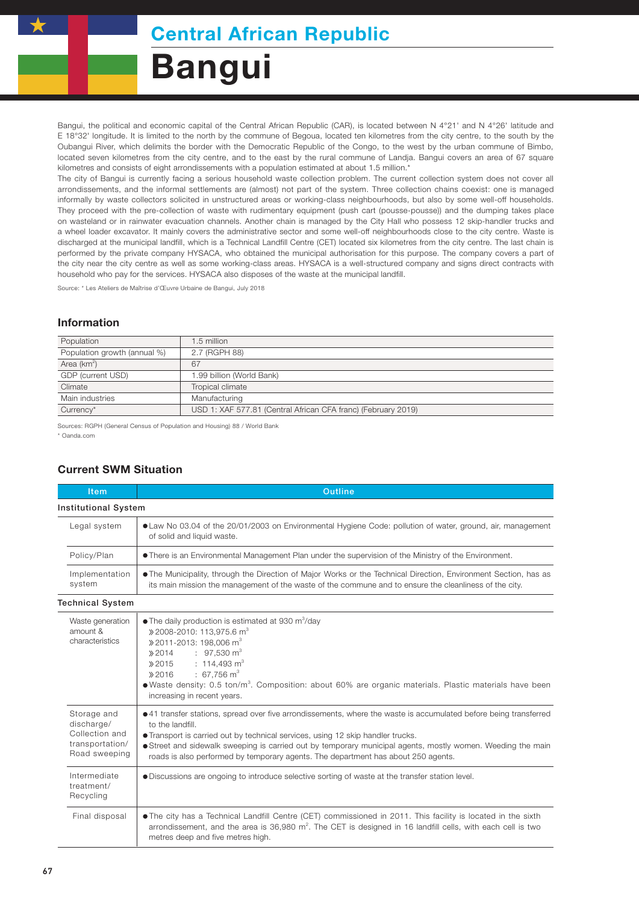## Bangui

Bangui, the political and economic capital of the Central African Republic (CAR), is located between N 4°21' and N 4°26' latitude and E 18°32' longitude. It is limited to the north by the commune of Begoua, located ten kilometres from the city centre, to the south by the Oubangui River, which delimits the border with the Democratic Republic of the Congo, to the west by the urban commune of Bimbo, located seven kilometres from the city centre, and to the east by the rural commune of Landja. Bangui covers an area of 67 square kilometres and consists of eight arrondissements with a population estimated at about 1.5 million.\*

The city of Bangui is currently facing a serious household waste collection problem. The current collection system does not cover all arrondissements, and the informal settlements are (almost) not part of the system. Three collection chains coexist: one is managed informally by waste collectors solicited in unstructured areas or working-class neighbourhoods, but also by some well-off households. They proceed with the pre-collection of waste with rudimentary equipment (push cart (pousse-pousse)) and the dumping takes place on wasteland or in rainwater evacuation channels. Another chain is managed by the City Hall who possess 12 skip-handler trucks and a wheel loader excavator. It mainly covers the administrative sector and some well-off neighbourhoods close to the city centre. Waste is discharged at the municipal landfill, which is a Technical Landfill Centre (CET) located six kilometres from the city centre. The last chain is performed by the private company HYSACA, who obtained the municipal authorisation for this purpose. The company covers a part of the city near the city centre as well as some working-class areas. HYSACA is a well-structured company and signs direct contracts with household who pay for the services. HYSACA also disposes of the waste at the municipal landfill.

Source: \* Les Ateliers de Maîtrise d'Œuvre Urbaine de Bangui, July 2018

## Information

| 1.5 million                                                   |  |
|---------------------------------------------------------------|--|
| 2.7 (RGPH 88)                                                 |  |
| 67                                                            |  |
| 1.99 billion (World Bank)                                     |  |
| Tropical climate                                              |  |
| Manufacturing                                                 |  |
| USD 1: XAF 577.81 (Central African CFA franc) (February 2019) |  |
|                                                               |  |

Sources: RGPH (General Census of Population and Housing) 88 / World Bank \* Oanda.com

## Current SWM Situation

| <b>Item</b>                                                                                                                                                                                                                                                                                      | <b>Outline</b>                                                                                                                                                                                                                                                                                                                                                                                                                  |  |  |  |
|--------------------------------------------------------------------------------------------------------------------------------------------------------------------------------------------------------------------------------------------------------------------------------------------------|---------------------------------------------------------------------------------------------------------------------------------------------------------------------------------------------------------------------------------------------------------------------------------------------------------------------------------------------------------------------------------------------------------------------------------|--|--|--|
| <b>Institutional System</b>                                                                                                                                                                                                                                                                      |                                                                                                                                                                                                                                                                                                                                                                                                                                 |  |  |  |
| Legal system                                                                                                                                                                                                                                                                                     | • Law No 03.04 of the 20/01/2003 on Environmental Hygiene Code: pollution of water, ground, air, management<br>of solid and liquid waste.                                                                                                                                                                                                                                                                                       |  |  |  |
| Policy/Plan                                                                                                                                                                                                                                                                                      | • There is an Environmental Management Plan under the supervision of the Ministry of the Environment.                                                                                                                                                                                                                                                                                                                           |  |  |  |
| Implementation<br>system                                                                                                                                                                                                                                                                         | • The Municipality, through the Direction of Major Works or the Technical Direction, Environment Section, has as<br>its main mission the management of the waste of the commune and to ensure the cleanliness of the city.                                                                                                                                                                                                      |  |  |  |
| <b>Technical System</b>                                                                                                                                                                                                                                                                          |                                                                                                                                                                                                                                                                                                                                                                                                                                 |  |  |  |
| Waste generation<br>amount &<br>characteristics                                                                                                                                                                                                                                                  | $\bullet$ The daily production is estimated at 930 m <sup>3</sup> /day<br>» 2008-2010: 113,975.6 m <sup>3</sup><br>» 2011-2013: 198.006 m <sup>3</sup><br>$\therefore$ 97,530 m <sup>3</sup><br>2014<br>$: 114,493 \text{ m}^3$<br>2015<br>$: 67.756 \text{ m}^3$<br>2016<br>• Waste density: 0.5 ton/m <sup>3</sup> . Composition: about 60% are organic materials. Plastic materials have been<br>increasing in recent years. |  |  |  |
| Storage and<br>discharge/<br>Collection and<br>transportation/<br>Road sweeping                                                                                                                                                                                                                  | • 41 transfer stations, spread over five arrondissements, where the waste is accumulated before being transferred<br>to the landfill.<br>• Transport is carried out by technical services, using 12 skip handler trucks.<br>• Street and sidewalk sweeping is carried out by temporary municipal agents, mostly women. Weeding the main<br>roads is also performed by temporary agents. The department has about 250 agents.    |  |  |  |
| Intermediate<br>treatment/<br>Recycling                                                                                                                                                                                                                                                          | . Discussions are ongoing to introduce selective sorting of waste at the transfer station level.                                                                                                                                                                                                                                                                                                                                |  |  |  |
| • The city has a Technical Landfill Centre (CET) commissioned in 2011. This facility is located in the sixth<br>Final disposal<br>arrondissement, and the area is $36,980$ m <sup>2</sup> . The CET is designed in 16 landfill cells, with each cell is two<br>metres deep and five metres high. |                                                                                                                                                                                                                                                                                                                                                                                                                                 |  |  |  |